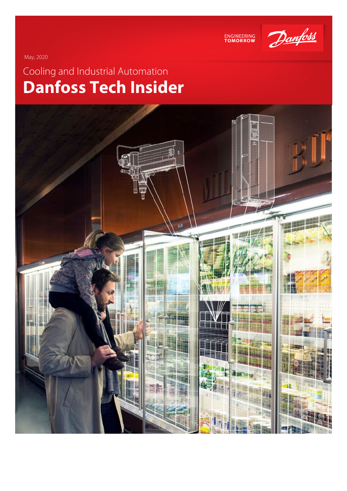

ENGINEERING<br>TOMORROW

May, 2020

# Cooling and Industrial Automation **Danfoss Tech Insider**

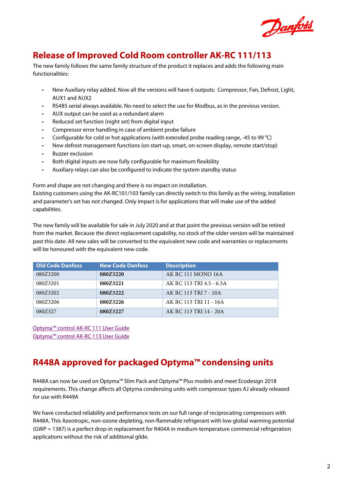

## **Release of Improved Cold Room controller AK-RC 111/113**

The new family follows the same family structure of the product it replaces and adds the following main functionalities:

- New Auxiliary relay added. Now all the versions will have 6 outputs: Compressor, Fan, Defrost, Light, AUX1 and AUX2
- RS485 serial always available. No need to select the use for Modbus, as in the previous version.
- AUX output can be used as a redundant alarm
- Reduced set function (night set) from digital input
- Compressor error handling in case of ambient probe failure
- Configurable for cold or hot applications (with extended probe reading range, -45 to 99 °C)
- New defrost management functions (on start-up, smart, on-screen display, remote start/stop)
- Buzzer exclusion
- Both digital inputs are now fully configurable for maximum flexibility
- Auxiliary relays can also be configured to indicate the system standby status

Form and shape are not changing and there is no impact on installation.

Existing customers using the AK-RC101/103 family can directly switch to this family as the wiring, installation and parameter's set has not changed. Only impact is for applications that will make use of the added capabilities.

The new family will be available for sale in July 2020 and at that point the previous version will be retired from the market. Because the direct replacement capability, no stock of the older version will be maintained past this date. All new sales will be converted to the equivalent new code and warranties or replacements will be honoured with the equivalent new code.

| <b>Old Code Danfoss</b> | <b>New Code Danfoss</b> | <b>Description</b>       |
|-------------------------|-------------------------|--------------------------|
| 080Z3200                | 080Z3220                | AK RC 111 MONO 16A       |
| 080Z3201                | 080Z3221                | AK RC 113 TRI 4.5 - 6.3A |
| 080Z3202                | 08073222                | AK RC 113 TRI 7 - 10A    |
| 080Z3206                | 080Z3226                | AK RC 113 TRI 11 - 16A   |
| 080Z327                 | 080Z3227                | AK RC 113 TRI 14 - 20A   |

[Optyma™ control AK-RC 111 User Guide](https://assets.danfoss.com/documents/DOC335849820156/DOC335849820156.pdf) [Optyma™ control AK-RC 113 User Guide](https://assets.danfoss.com/documents/DOC335739391063/DOC335739391063.pdf)

## **R448A approved for packaged Optyma™ condensing units**

R448A can now be used on Optyma™ Slim Pack and Optyma™ Plus models and meet Ecodesign 2018 requirements. This change affects all Optyma condensing units with compressor types AJ already released for use with R449A

We have conducted reliability and performance tests on our full range of reciprocating compressors with R448A. This Azeotropic, non-ozone depleting, non-flammable refrigerant with low global warming potential (GWP = 1387) is a perfect drop-in replacement for R404A in medium-temperature commercial refrigeration applications without the risk of additional glide.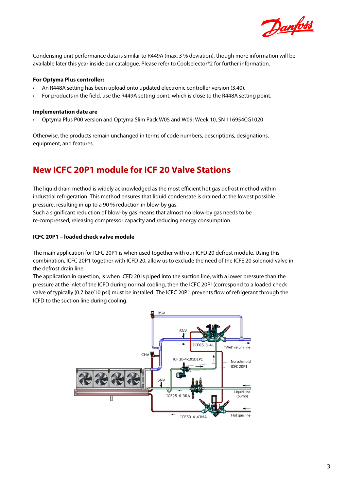

Condensing unit performance data is similar to R449A (max. 3 % deviation), though more information will be available later this year inside our catalogue. Please refer to Coolselector®2 for further information.

#### **For Optyma Plus controller:**

- An R448A setting has been upload onto updated electronic controller version (3.40).
- For products in the field, use the R449A setting point, which is close to the R448A setting point.

#### **Implementation date are**

• Optyma Plus P00 version and Optyma Slim Pack W05 and W09: Week 10, SN 116954CG1020

Otherwise, the products remain unchanged in terms of code numbers, descriptions, designations, equipment, and features.

## **New ICFC 20P1 module for ICF 20 Valve Stations**

The liquid drain method is widely acknowledged as the most efficient hot gas defrost method within industrial refrigeration. This method ensures that liquid condensate is drained at the lowest possible pressure, resulting in up to a 90 % reduction in blow-by gas.

Such a significant reduction of blow-by gas means that almost no blow-by gas needs to be re-compressed, releasing compressor capacity and reducing energy consumption.

#### **ICFC 20P1 – loaded check valve module**

The main application for ICFC 20P1 is when used together with our ICFD 20 defrost module. Using this combination, ICFC 20P1 together with ICFD 20, allow us to exclude the need of the ICFE 20 solenoid valve in the defrost drain line.

The application in question, is when ICFD 20 is piped into the suction line, with a lower pressure than the pressure at the inlet of the ICFD during normal cooling, then the ICFC 20P1(correspond to a loaded check valve of typically (0.7 bar/10 psi) must be installed. The ICFC 20P1 prevents flow of refrigerant through the ICFD to the suction line during cooling.

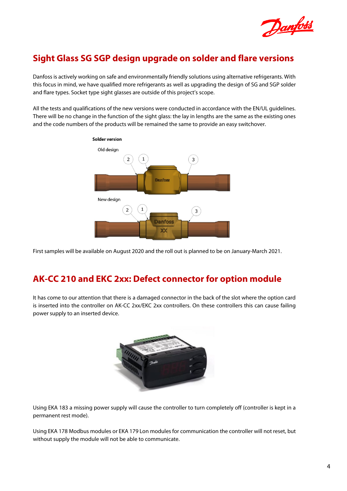

## **Sight Glass SG SGP design upgrade on solder and flare versions**

Danfoss is actively working on safe and environmentally friendly solutions using alternative refrigerants. With this focus in mind, we have qualified more refrigerants as well as upgrading the design of SG and SGP solder and flare types. Socket type sight glasses are outside of this project's scope.

All the tests and qualifications of the new versions were conducted in accordance with the EN/UL guidelines. There will be no change in the function of the sight glass: the lay in lengths are the same as the existing ones and the code numbers of the products will be remained the same to provide an easy switchover.



First samples will be available on August 2020 and the roll out is planned to be on January-March 2021.

## **AK-CC 210 and EKC 2xx: Defect connector for option module**

It has come to our attention that there is a damaged connector in the back of the slot where the option card is inserted into the controller on AK-CC 2xx/EKC 2xx controllers. On these controllers this can cause failing power supply to an inserted device.



Using EKA 183 a missing power supply will cause the controller to turn completely off (controller is kept in a permanent rest mode).

Using EKA 178 Modbus modules or EKA 179 Lon modules for communication the controller will not reset, but without supply the module will not be able to communicate.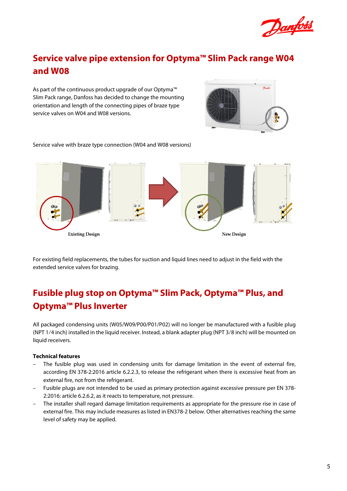

## **Service valve pipe extension for Optyma™ Slim Pack range W04 and W08**

As part of the continuous product upgrade of our Optyma™ Slim Pack range, Danfoss has decided to change the mounting orientation and length of the connecting pipes of braze type service valves on W04 and W08 versions.



Service valve with braze type connection (W04 and W08 versions)



For existing field replacements, the tubes for suction and liquid lines need to adjust in the field with the extended service valves for brazing.

## **Fusible plug stop on Optyma™ Slim Pack, Optyma™ Plus, and Optyma™ Plus Inverter**

All packaged condensing units (W05/W09/P00/P01/P02) will no longer be manufactured with a fusible plug (NPT 1⁄4 inch) installed in the liquid receiver. Instead, a blank adapter plug (NPT 3⁄8 inch) will be mounted on liquid receivers.

#### **Technical features**

- The fusible plug was used in condensing units for damage limitation in the event of external fire, according EN 378-2:2016 article 6.2.2.3, to release the refrigerant when there is excessive heat from an external fire, not from the refrigerant.
- Fusible plugs are not intended to be used as primary protection against excessive pressure per EN 378- 2:2016: article 6.2.6.2, as it reacts to temperature, not pressure.
- The installer shall regard damage limitation requirements as appropriate for the pressure rise in case of external fire. This may include measures as listed in EN378-2 below. Other alternatives reaching the same level of safety may be applied.